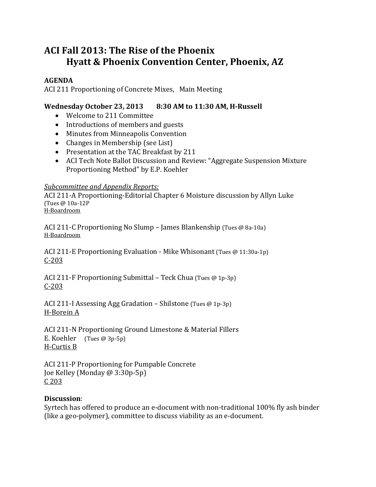# **ACI Fall 2013: The Rise of the Phoenix Hyatt & Phoenix Convention Center, Phoenix, AZ**

### **AGENDA**

ACI 211 Proportioning of Concrete Mixes, Main Meeting

## **Wednesday October 23, 2013 8:30 AM to 11:30 AM, H‐Russell**

- Welcome to 211 Committee
- Introductions of members and guests
- Minutes from Minneapolis Convention
- $\bullet$  Changes in Membership (see List)
- Presentation at the TAC Breakfast by 211
- ACI Tech Note Ballot Discussion and Review: "Aggregate Suspension Mixture Proportioning Method" by E.P. Koehler

#### *Subcommittee and Appendix Reports:*

ACI 211-A Proportioning-Editorial Chapter 6 Moisture discussion by Allyn Luke (Tues @ 10a‐12P H‐Boardroom 

ACI 211-C Proportioning No Slump – James Blankenship (Tues @ 8a-10a) H‐Boardroom 

ACI 211-E Proportioning Evaluation - Mike Whisonant (Tues  $\omega$  11:30a-1p)  $C - 203$ 

ACI 211-F Proportioning Submittal – Teck Chua (Tues  $@$  1p-3p) C‐203 

ACI 211-I Assessing Agg Gradation – Shilstone (Tues  $@$  1p-3p) H‐Borein A 

ACI 211-N Proportioning Ground Limestone & Material Fillers E. Koehler  $(Tues @ 3p-5p)$ H-Curtis B

ACI 211-P Proportioning for Pumpable Concrete Joe Kelley (Monday @ 3:30p-5p) C 203 

#### **Discussion**:

Syrtech has offered to produce an e-document with non-traditional 100% fly ash binder (like a geo-polymer), committee to discuss viability as an e-document.